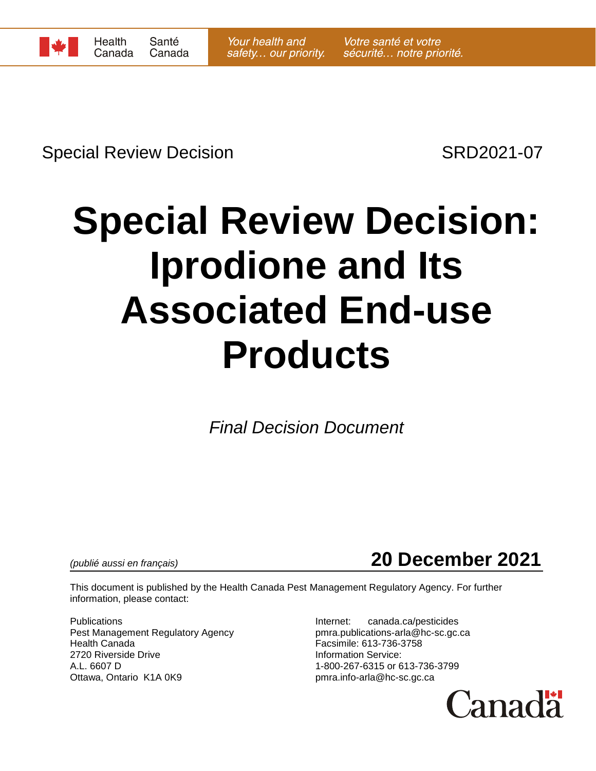

Special Review Decision SRD2021-07

# **Special Review Decision: Iprodione and Its Associated End-use Products**

*Final Decision Document*



This document is published by the Health Canada Pest Management Regulatory Agency. For further information, please contact:

Publications **Internet:** canada.ca/pesticides Pest Management Regulatory Agency pmra.publications-arla@hc-sc.gc.ca Health Canada Facsimile: 613-736-3758 2720 Riverside Drive **Information Service:** A.L. 6607 D 1-800-267-6315 or 613-736-3799 Ottawa, Ontario K1A 0K9 **butter and the Contact of Contact Property** pmra.info-arla@hc-sc.gc.ca

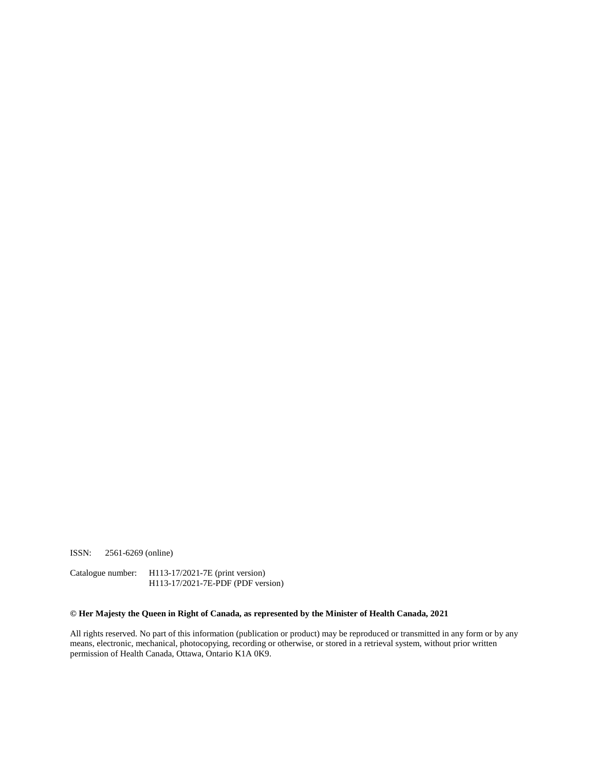ISSN: 2561-6269 (online)

Catalogue number: H113-17/2021-7E (print version) H113-17/2021-7E-PDF (PDF version)

#### **© Her Majesty the Queen in Right of Canada, as represented by the Minister of Health Canada, 2021**

All rights reserved. No part of this information (publication or product) may be reproduced or transmitted in any form or by any means, electronic, mechanical, photocopying, recording or otherwise, or stored in a retrieval system, without prior written permission of Health Canada, Ottawa, Ontario K1A 0K9.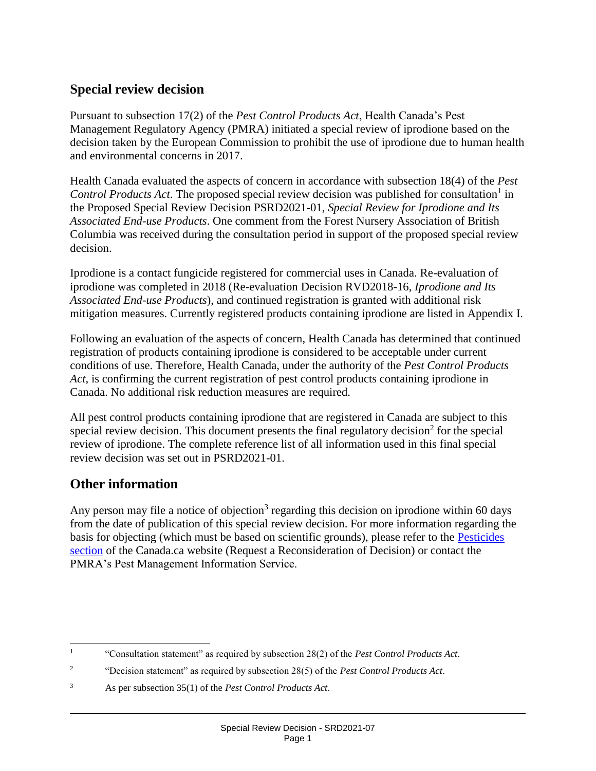### **Special review decision**

Pursuant to subsection 17(2) of the *Pest Control Products Act*, Health Canada's Pest Management Regulatory Agency (PMRA) initiated a special review of iprodione based on the decision taken by the European Commission to prohibit the use of iprodione due to human health and environmental concerns in 2017.

Health Canada evaluated the aspects of concern in accordance with subsection 18(4) of the *Pest*  Control Products Act. The proposed special review decision was published for consultation<sup>1</sup> in the Proposed Special Review Decision PSRD2021-01, *Special Review for Iprodione and Its Associated End-use Products*. One comment from the Forest Nursery Association of British Columbia was received during the consultation period in support of the proposed special review decision.

Iprodione is a contact fungicide registered for commercial uses in Canada. Re-evaluation of iprodione was completed in 2018 (Re-evaluation Decision RVD2018-16, *Iprodione and Its Associated End-use Products*), and continued registration is granted with additional risk mitigation measures. Currently registered products containing iprodione are listed in Appendix I.

Following an evaluation of the aspects of concern, Health Canada has determined that continued registration of products containing iprodione is considered to be acceptable under current conditions of use. Therefore, Health Canada, under the authority of the *Pest Control Products Act*, is confirming the current registration of pest control products containing iprodione in Canada. No additional risk reduction measures are required.

All pest control products containing iprodione that are registered in Canada are subject to this special review decision. This document presents the final regulatory decision<sup>2</sup> for the special review of iprodione. The complete reference list of all information used in this final special review decision was set out in PSRD2021-01.

### **Other information**

Any person may file a notice of objection<sup>3</sup> regarding this decision on iprodione within 60 days from the date of publication of this special review decision. For more information regarding the basis for objecting (which must be based on scientific grounds), please refer to the [Pesticides](https://www.canada.ca/en/health-canada/services/consumer-product-safety/pesticides-pest-management.html)  [section](https://www.canada.ca/en/health-canada/services/consumer-product-safety/pesticides-pest-management.html) of the Canada.ca website (Request a Reconsideration of Decision) or contact the PMRA's Pest Management Information Service.

 $\frac{1}{1}$ "Consultation statement" as required by subsection 28(2) of the *Pest Control Products Act*.

<sup>2</sup> "Decision statement" as required by subsection 28(5) of the *Pest Control Products Act*.

<sup>3</sup> As per subsection 35(1) of the *Pest Control Products Act*.